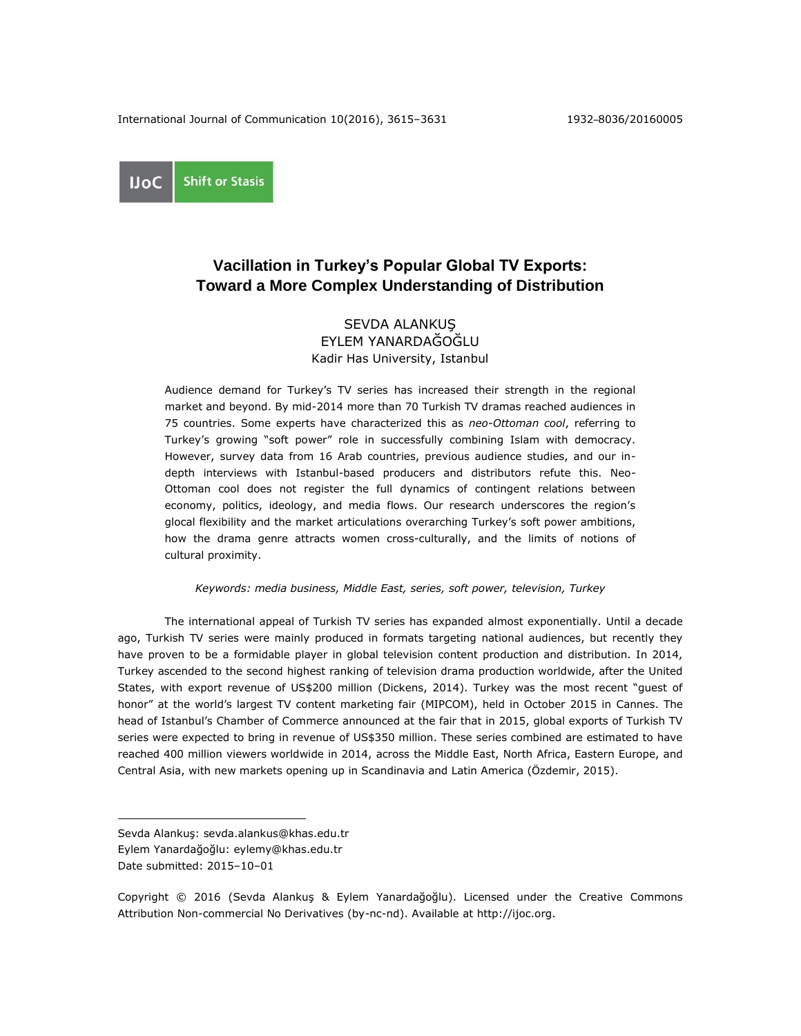**Shift or Stasis UoC** 

# **Vacillation in Turkey's Popular Global TV Exports: Toward a More Complex Understanding of Distribution**

# SEVDA ALANKUŞ EYLEM YANARDAĞOĞLU Kadir Has University, Istanbul

Audience demand for Turkey's TV series has increased their strength in the regional market and beyond. By mid-2014 more than 70 Turkish TV dramas reached audiences in 75 countries. Some experts have characterized this as *neo-Ottoman cool*, referring to Turkey's growing "soft power" role in successfully combining Islam with democracy. However, survey data from 16 Arab countries, previous audience studies, and our indepth interviews with Istanbul-based producers and distributors refute this. Neo-Ottoman cool does not register the full dynamics of contingent relations between economy, politics, ideology, and media flows. Our research underscores the region's glocal flexibility and the market articulations overarching Turkey's soft power ambitions, how the drama genre attracts women cross-culturally, and the limits of notions of cultural proximity.

*Keywords: media business, Middle East, series, soft power, television, Turkey*

The international appeal of Turkish TV series has expanded almost exponentially. Until a decade ago, Turkish TV series were mainly produced in formats targeting national audiences, but recently they have proven to be a formidable player in global television content production and distribution. In 2014, Turkey ascended to the second highest ranking of television drama production worldwide, after the United States, with export revenue of US\$200 million (Dickens, 2014). Turkey was the most recent "guest of honor" at the world's largest TV content marketing fair (MIPCOM), held in October 2015 in Cannes. The head of Istanbul's Chamber of Commerce announced at the fair that in 2015, global exports of Turkish TV series were expected to bring in revenue of US\$350 million. These series combined are estimated to have reached 400 million viewers worldwide in 2014, across the Middle East, North Africa, Eastern Europe, and Central Asia, with new markets opening up in Scandinavia and Latin America (Özdemir, 2015).

 $\overline{a}$ 

Copyright © 2016 (Sevda Alankuş & Eylem Yanardağoğlu). Licensed under the Creative Commons Attribution Non-commercial No Derivatives (by-nc-nd). Available at [http://ijoc.org.](http://ijoc.org/)

Sevda Alankuş: sevda.alankus@khas.edu.tr

Eylem Yanardağoğlu: eylemy@khas.edu.tr

Date submitted: 2015–10–01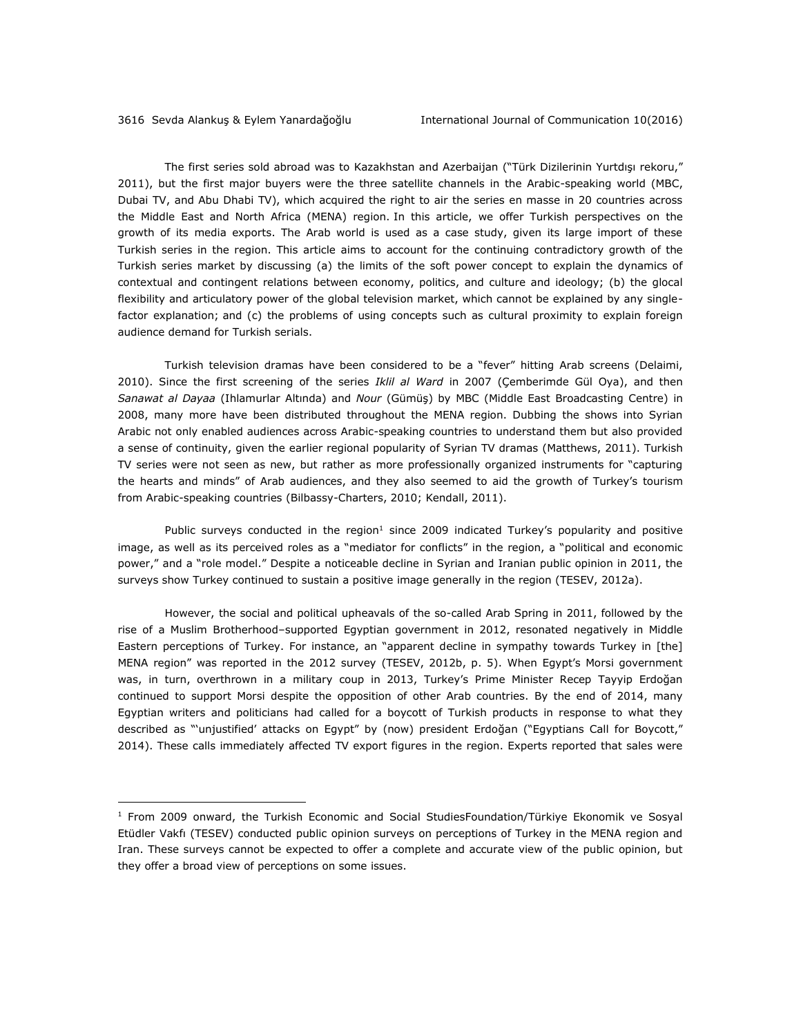The first series sold abroad was to Kazakhstan and Azerbaijan ("Türk Dizilerinin Yurtdışı rekoru," 2011), but the first major buyers were the three satellite channels in the Arabic-speaking world (MBC, Dubai TV, and Abu Dhabi TV), which acquired the right to air the series en masse in 20 countries across the Middle East and North Africa (MENA) region. In this article, we offer Turkish perspectives on the growth of its media exports. The Arab world is used as a case study, given its large import of these Turkish series in the region. This article aims to account for the continuing contradictory growth of the Turkish series market by discussing (a) the limits of the soft power concept to explain the dynamics of contextual and contingent relations between economy, politics, and culture and ideology; (b) the glocal flexibility and articulatory power of the global television market, which cannot be explained by any singlefactor explanation; and (c) the problems of using concepts such as cultural proximity to explain foreign audience demand for Turkish serials.

Turkish television dramas have been considered to be a "fever" hitting Arab screens (Delaimi, 2010). Since the first screening of the series *Iklil al Ward* in 2007 (Çemberimde Gül Oya), and then *Sanawat al Dayaa* (Ihlamurlar Altında) and *Nour* (Gümüş) by MBC (Middle East Broadcasting Centre) in 2008, many more have been distributed throughout the MENA region. Dubbing the shows into Syrian Arabic not only enabled audiences across Arabic-speaking countries to understand them but also provided a sense of continuity, given the earlier regional popularity of Syrian TV dramas (Matthews, 2011). Turkish TV series were not seen as new, but rather as more professionally organized instruments for "capturing the hearts and minds" of Arab audiences, and they also seemed to aid the growth of Turkey's tourism from Arabic-speaking countries (Bilbassy-Charters, 2010; Kendall, 2011).

Public surveys conducted in the region<sup>1</sup> since 2009 indicated Turkey's popularity and positive image, as well as its perceived roles as a "mediator for conflicts" in the region, a "political and economic power," and a "role model." Despite a noticeable decline in Syrian and Iranian public opinion in 2011, the surveys show Turkey continued to sustain a positive image generally in the region (TESEV, 2012a).

However, the social and political upheavals of the so-called Arab Spring in 2011, followed by the rise of a Muslim Brotherhood–supported Egyptian government in 2012, resonated negatively in Middle Eastern perceptions of Turkey. For instance, an "apparent decline in sympathy towards Turkey in [the] MENA region" was reported in the 2012 survey (TESEV, 2012b, p. 5). When Egypt's Morsi government was, in turn, overthrown in a military coup in 2013, Turkey's Prime Minister Recep Tayyip Erdoğan continued to support Morsi despite the opposition of other Arab countries. By the end of 2014, many Egyptian writers and politicians had called for a boycott of Turkish products in response to what they described as "'unjustified' attacks on Egypt" by (now) president Erdoğan ("Egyptians Call for Boycott," 2014). These calls immediately affected TV export figures in the region. Experts reported that sales were

<sup>1</sup> From 2009 onward, the Turkish Economic and Social StudiesFoundation[/Türkiye Ekonomik ve Sosyal](http://www.tesev.org.tr/)  [Etüdler Vakfı](http://www.tesev.org.tr/) (TESEV) conducted public opinion surveys on perceptions of Turkey in the MENA region and Iran. These surveys cannot be expected to offer a complete and accurate view of the public opinion, but they offer a broad view of perceptions on some issues.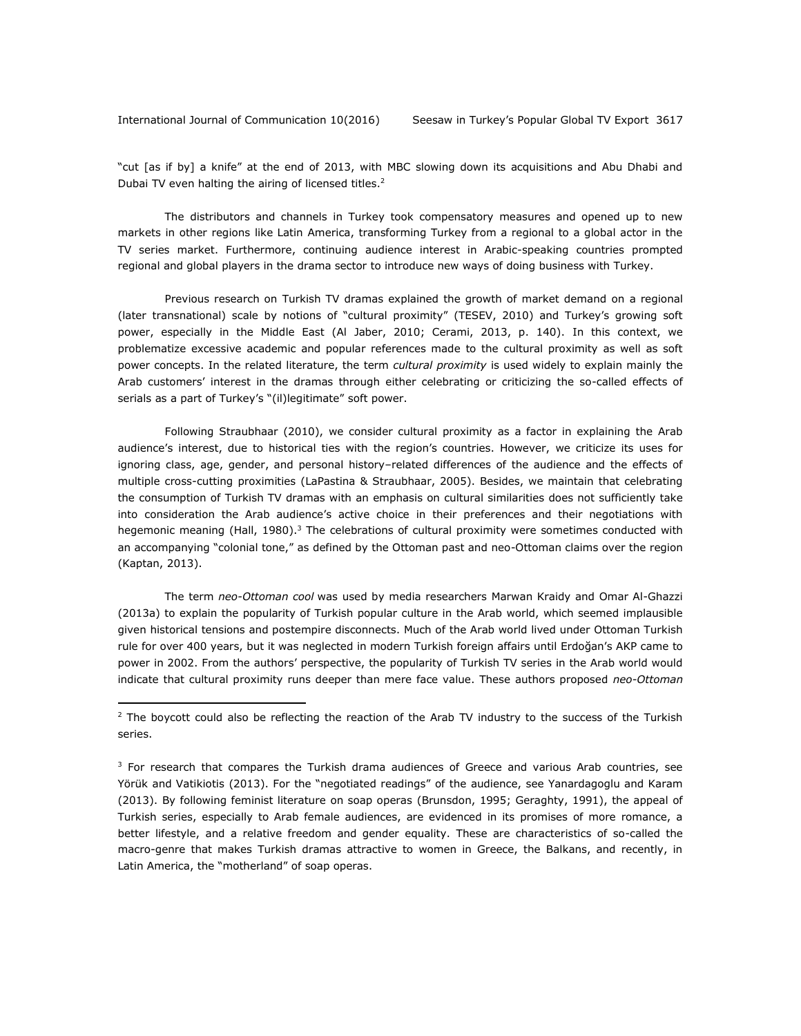"cut [as if by] a knife" at the end of 2013, with MBC slowing down its acquisitions and Abu Dhabi and Dubai TV even halting the airing of licensed titles.<sup>2</sup>

The distributors and channels in Turkey took compensatory measures and opened up to new markets in other regions like Latin America, transforming Turkey from a regional to a global actor in the TV series market. Furthermore, continuing audience interest in Arabic-speaking countries prompted regional and global players in the drama sector to introduce new ways of doing business with Turkey.

Previous research on Turkish TV dramas explained the growth of market demand on a regional (later transnational) scale by notions of "cultural proximity" (TESEV, 2010) and Turkey's growing soft power, especially in the Middle East (Al Jaber, 2010; Cerami, 2013, p. 140). In this context, we problematize excessive academic and popular references made to the cultural proximity as well as soft power concepts. In the related literature, the term *cultural proximity* is used widely to explain mainly the Arab customers' interest in the dramas through either celebrating or criticizing the so-called effects of serials as a part of Turkey's "(il)legitimate" soft power.

Following Straubhaar (2010), we consider cultural proximity as a factor in explaining the Arab audience's interest, due to historical ties with the region's countries. However, we criticize its uses for ignoring class, age, gender, and personal history–related differences of the audience and the effects of multiple cross-cutting proximities (LaPastina & Straubhaar, 2005). Besides, we maintain that celebrating the consumption of Turkish TV dramas with an emphasis on cultural similarities does not sufficiently take into consideration the Arab audience's active choice in their preferences and their negotiations with hegemonic meaning (Hall, 1980).<sup>3</sup> The celebrations of cultural proximity were sometimes conducted with an accompanying "colonial tone," as defined by the Ottoman past and neo-Ottoman claims over the region (Kaptan, 2013).

The term *neo-Ottoman cool* was used by media researchers Marwan Kraidy and Omar Al-Ghazzi (2013a) to explain the popularity of Turkish popular culture in the Arab world, which seemed implausible given historical tensions and postempire disconnects. Much of the Arab world lived under Ottoman Turkish rule for over 400 years, but it was neglected in modern Turkish foreign affairs until Erdoğan's AKP came to power in 2002. From the authors' perspective, the popularity of Turkish TV series in the Arab world would indicate that cultural proximity runs deeper than mere face value. These authors proposed *neo-Ottoman* 

 $2$  The boycott could also be reflecting the reaction of the Arab TV industry to the success of the Turkish series.

 $3$  For research that compares the Turkish drama audiences of Greece and various Arab countries, see Yörük and Vatikiotis (2013). For the "negotiated readings" of the audience, see Yanardagoglu and Karam (2013). By following feminist literature on soap operas (Brunsdon, 1995; Geraghty, 1991), the appeal of Turkish series, especially to Arab female audiences, are evidenced in its promises of more romance, a better lifestyle, and a relative freedom and gender equality. These are characteristics of so-called the macro-genre that makes Turkish dramas attractive to women in Greece, the Balkans, and recently, in Latin America, the "motherland" of soap operas.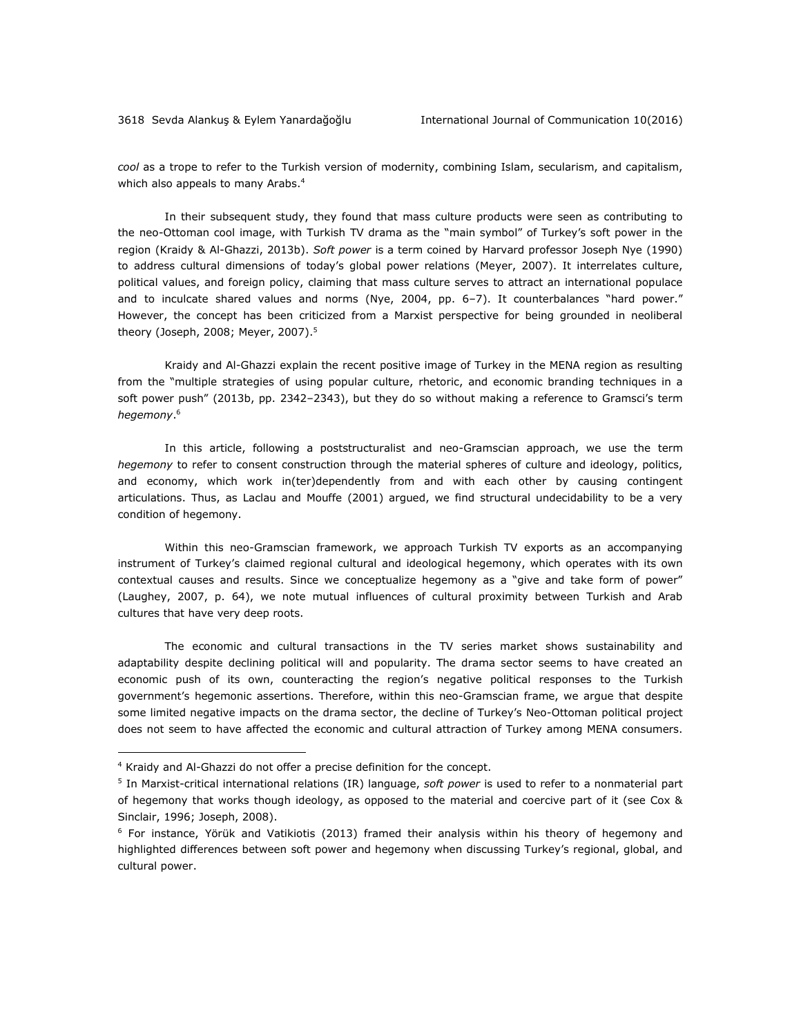*cool* as a trope to refer to the Turkish version of modernity, combining Islam, secularism, and capitalism, which also appeals to many Arabs.<sup>4</sup>

In their subsequent study, they found that mass culture products were seen as contributing to the neo-Ottoman cool image, with Turkish TV drama as the "main symbol" of Turkey's soft power in the region (Kraidy & Al-Ghazzi, 2013b). *Soft power* is a term coined by Harvard professor Joseph Nye (1990) to address cultural dimensions of today's global power relations (Meyer, 2007). It interrelates culture, political values, and foreign policy, claiming that mass culture serves to attract an international populace and to inculcate shared values and norms (Nye, 2004, pp. 6–7). It counterbalances "hard power." However, the concept has been criticized from a Marxist perspective for being grounded in neoliberal theory (Joseph, 2008; Meyer, 2007).<sup>5</sup>

Kraidy and Al-Ghazzi explain the recent positive image of Turkey in the MENA region as resulting from the "multiple strategies of using popular culture, rhetoric, and economic branding techniques in a soft power push" (2013b, pp. 2342–2343), but they do so without making a reference to Gramsci's term *hegemony*. 6

In this article, following a poststructuralist and neo-Gramscian approach, we use the term *hegemony* to refer to consent construction through the material spheres of culture and ideology, politics, and economy, which work in(ter)dependently from and with each other by causing contingent articulations. Thus, as Laclau and Mouffe (2001) argued, we find structural undecidability to be a very condition of hegemony.

Within this neo-Gramscian framework, we approach Turkish TV exports as an accompanying instrument of Turkey's claimed regional cultural and ideological hegemony, which operates with its own contextual causes and results. Since we conceptualize hegemony as a "give and take form of power" (Laughey, 2007, p. 64), we note mutual influences of cultural proximity between Turkish and Arab cultures that have very deep roots.

The economic and cultural transactions in the TV series market shows sustainability and adaptability despite declining political will and popularity. The drama sector seems to have created an economic push of its own, counteracting the region's negative political responses to the Turkish government's hegemonic assertions. Therefore, within this neo-Gramscian frame, we argue that despite some limited negative impacts on the drama sector, the decline of Turkey's Neo-Ottoman political project does not seem to have affected the economic and cultural attraction of Turkey among MENA consumers.

 $\overline{a}$ 

<sup>4</sup> Kraidy and Al-Ghazzi do not offer a precise definition for the concept.

<sup>5</sup> In Marxist-critical international relations (IR) language, *soft power* is used to refer to a nonmaterial part of hegemony that works though ideology, as opposed to the material and coercive part of it (see Cox & Sinclair, 1996; Joseph, 2008).

<sup>&</sup>lt;sup>6</sup> For instance, Yörük and Vatikiotis (2013) framed their analysis within his theory of hegemony and highlighted differences between soft power and hegemony when discussing Turkey's regional, global, and cultural power.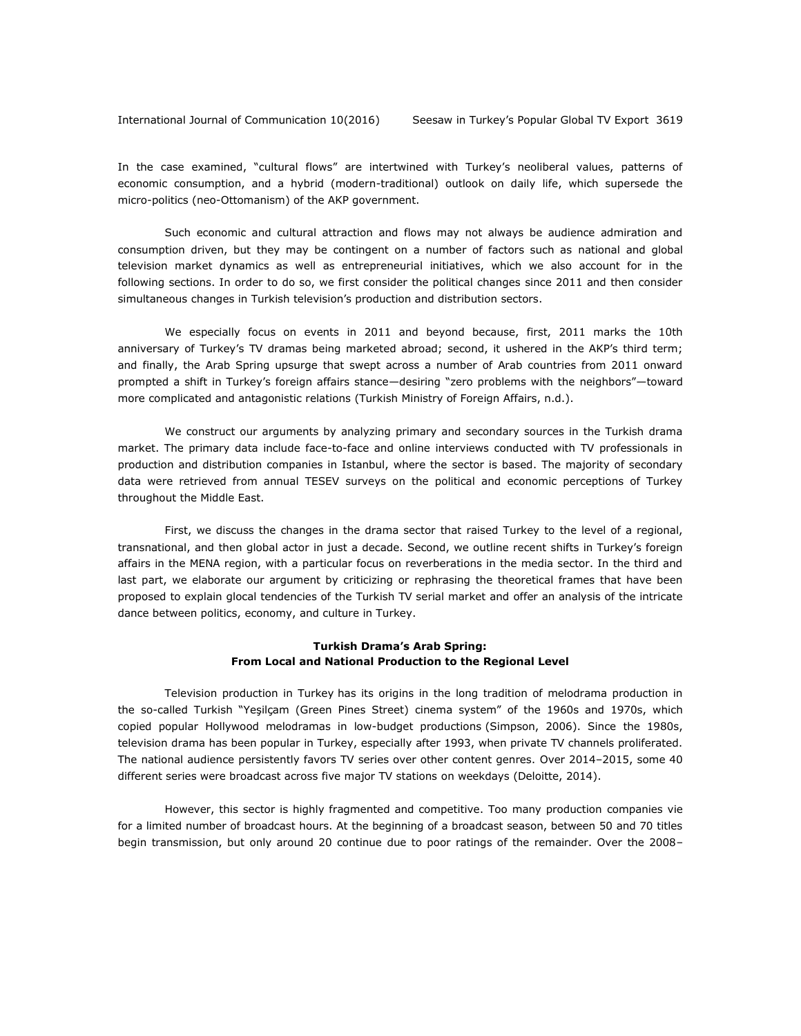In the case examined, "cultural flows" are intertwined with Turkey's neoliberal values, patterns of economic consumption, and a hybrid (modern-traditional) outlook on daily life, which supersede the micro-politics (neo-Ottomanism) of the AKP government.

Such economic and cultural attraction and flows may not always be audience admiration and consumption driven, but they may be contingent on a number of factors such as national and global television market dynamics as well as entrepreneurial initiatives, which we also account for in the following sections. In order to do so, we first consider the political changes since 2011 and then consider simultaneous changes in Turkish television's production and distribution sectors.

We especially focus on events in 2011 and beyond because, first, 2011 marks the 10th anniversary of Turkey's TV dramas being marketed abroad; second, it ushered in the AKP's third term; and finally, the Arab Spring upsurge that swept across a number of Arab countries from 2011 onward prompted a shift in Turkey's foreign affairs stance—desiring "zero problems with the neighbors"—toward more complicated and antagonistic relations (Turkish Ministry of Foreign Affairs, n.d.).

We construct our arguments by analyzing primary and secondary sources in the Turkish drama market. The primary data include face-to-face and online interviews conducted with TV professionals in production and distribution companies in Istanbul, where the sector is based. The majority of secondary data were retrieved from annual TESEV surveys on the political and economic perceptions of Turkey throughout the Middle East.

First, we discuss the changes in the drama sector that raised Turkey to the level of a regional, transnational, and then global actor in just a decade. Second, we outline recent shifts in Turkey's foreign affairs in the MENA region, with a particular focus on reverberations in the media sector. In the third and last part, we elaborate our argument by criticizing or rephrasing the theoretical frames that have been proposed to explain glocal tendencies of the Turkish TV serial market and offer an analysis of the intricate dance between politics, economy, and culture in Turkey.

### **Turkish Drama's Arab Spring: From Local and National Production to the Regional Level**

Television production in Turkey has its origins in the long tradition of melodrama production in the so-called Turkish "Yeşilçam (Green Pines Street) cinema system" of the 1960s and 1970s, which copied popular Hollywood melodramas in low-budget productions (Simpson, 2006). Since the 1980s, television drama has been popular in Turkey, especially after 1993, when private TV channels proliferated. The national audience persistently favors TV series over other content genres. Over 2014–2015, some 40 different series were broadcast across five major TV stations on weekdays (Deloitte, 2014).

However, this sector is highly fragmented and competitive. Too many production companies vie for a limited number of broadcast hours. At the beginning of a broadcast season, between 50 and 70 titles begin transmission, but only around 20 continue due to poor ratings of the remainder. Over the 2008–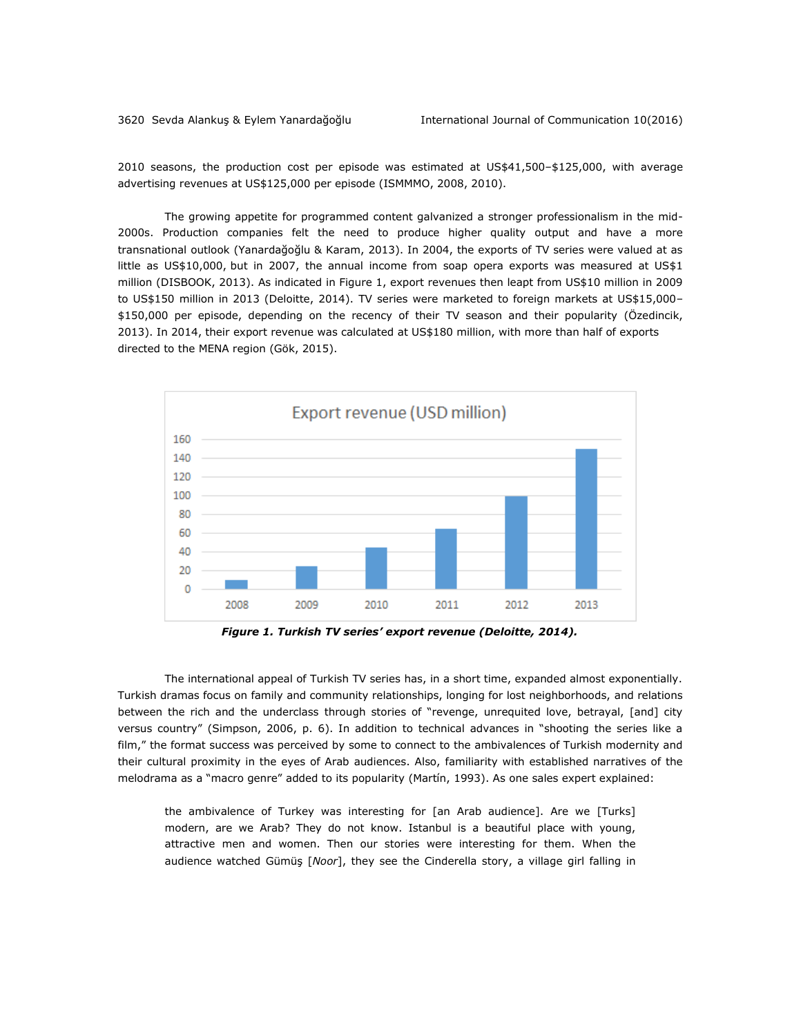2010 seasons, the production cost per episode was estimated at US\$41,500–\$125,000, with average advertising revenues at US\$125,000 per episode (ISMMMO, 2008, 2010).

The growing appetite for programmed content galvanized a stronger professionalism in the mid-2000s. Production companies felt the need to produce higher quality output and have a more transnational outlook (Yanardağoğlu & Karam, 2013). In 2004, the exports of TV series were valued at as little as US\$10,000, but in 2007, the annual income from soap opera exports was measured at US\$1 million (DISBOOK, 2013). As indicated in Figure 1, export revenues then leapt from US\$10 million in 2009 to US\$150 million in 2013 (Deloitte, 2014). TV series were marketed to foreign markets at US\$15,000– \$150,000 per episode, depending on the recency of their TV season and their popularity (Özedincik, 2013). In 2014, their export revenue was calculated at US\$180 million, with more than half of exports directed to the MENA region (Gök, 2015).



*Figure 1. Turkish TV series' export revenue (Deloitte, 2014).* 

The international appeal of Turkish TV series has, in a short time, expanded almost exponentially. Turkish dramas focus on family and community relationships, longing for lost neighborhoods, and relations between the rich and the underclass through stories of "revenge, unrequited love, betrayal, [and] city versus country" (Simpson, 2006, p. 6). In addition to technical advances in "shooting the series like a film," the format success was perceived by some to connect to the ambivalences of Turkish modernity and their cultural proximity in the eyes of Arab audiences. Also, familiarity with established narratives of the melodrama as a "macro genre" added to its popularity (Martín, 1993). As one sales expert explained:

the ambivalence of Turkey was interesting for [an Arab audience]. Are we [Turks] modern, are we Arab? They do not know. Istanbul is a beautiful place with young, attractive men and women. Then our stories were interesting for them. When the audience watched Gümüş [*Noor*], they see the Cinderella story, a village girl falling in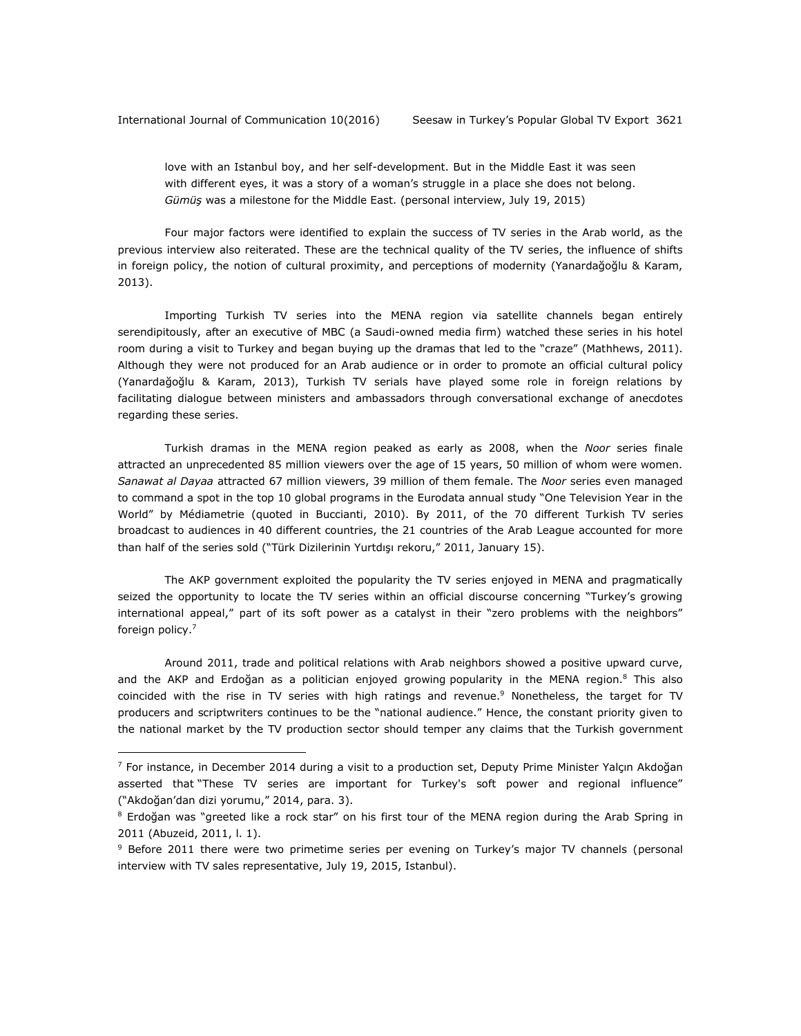love with an Istanbul boy, and her self-development. But in the Middle East it was seen with different eyes, it was a story of a woman's struggle in a place she does not belong. *Gümüş* was a milestone for the Middle East. (personal interview, July 19, 2015)

Four major factors were identified to explain the success of TV series in the Arab world, as the previous interview also reiterated. These are the technical quality of the TV series, the influence of shifts in foreign policy, the notion of cultural proximity, and perceptions of modernity (Yanardağoğlu & Karam, 2013).

Importing Turkish TV series into the MENA region via satellite channels began entirely serendipitously, after an executive of MBC (a Saudi-owned media firm) watched these series in his hotel room during a visit to Turkey and began buying up the dramas that led to the "craze" (Mathhews, 2011). Although they were not produced for an Arab audience or in order to promote an official cultural policy (Yanardağoğlu & Karam, 2013), Turkish TV serials have played some role in foreign relations by facilitating dialogue between ministers and ambassadors through conversational exchange of anecdotes regarding these series.

Turkish dramas in the MENA region peaked as early as 2008, when the *Noor* series finale attracted an unprecedented 85 million viewers over the age of 15 years, 50 million of whom were women. *Sanawat al Dayaa* attracted 67 million viewers, 39 million of them female. The *Noor* series even managed to command a spot in the top 10 global programs in the Eurodata annual study "One Television Year in the World" by Médiametrie (quoted in Buccianti, 2010). By 2011, of the 70 different Turkish TV series broadcast to audiences in 40 different countries, the 21 countries of the Arab League accounted for more than half of the series sold ("Türk Dizilerinin Yurtdışı rekoru," 2011, January 15).

The AKP government exploited the popularity the TV series enjoyed in MENA and pragmatically seized the opportunity to locate the TV series within an official discourse concerning "Turkey's growing international appeal," part of its soft power as a catalyst in their "zero problems with the neighbors" foreign policy.<sup>7</sup>

Around 2011, trade and political relations with Arab neighbors showed a positive upward curve, and the AKP and Erdoğan as a politician enjoyed growing popularity in the MENA region.<sup>8</sup> This also coincided with the rise in TV series with high ratings and revenue.<sup>9</sup> Nonetheless, the target for TV producers and scriptwriters continues to be the "national audience." Hence, the constant priority given to the national market by the TV production sector should temper any claims that the Turkish government

<sup>&</sup>lt;sup>7</sup> For instance, in December 2014 during a visit to a production set, Deputy Prime Minister Yalçın Akdoğan asserted that "These TV series are important for Turkey's soft power and regional influence" ("Akdoğan'dan dizi yorumu," 2014, para. 3).

<sup>&</sup>lt;sup>8</sup> Erdoğan was "greeted like a rock star" on his first tour of the MENA region during the Arab Spring in 2011 (Abuzeid, 2011, l. 1).

<sup>&</sup>lt;sup>9</sup> Before 2011 there were two primetime series per evening on Turkey's major TV channels (personal interview with TV sales representative, July 19, 2015, Istanbul).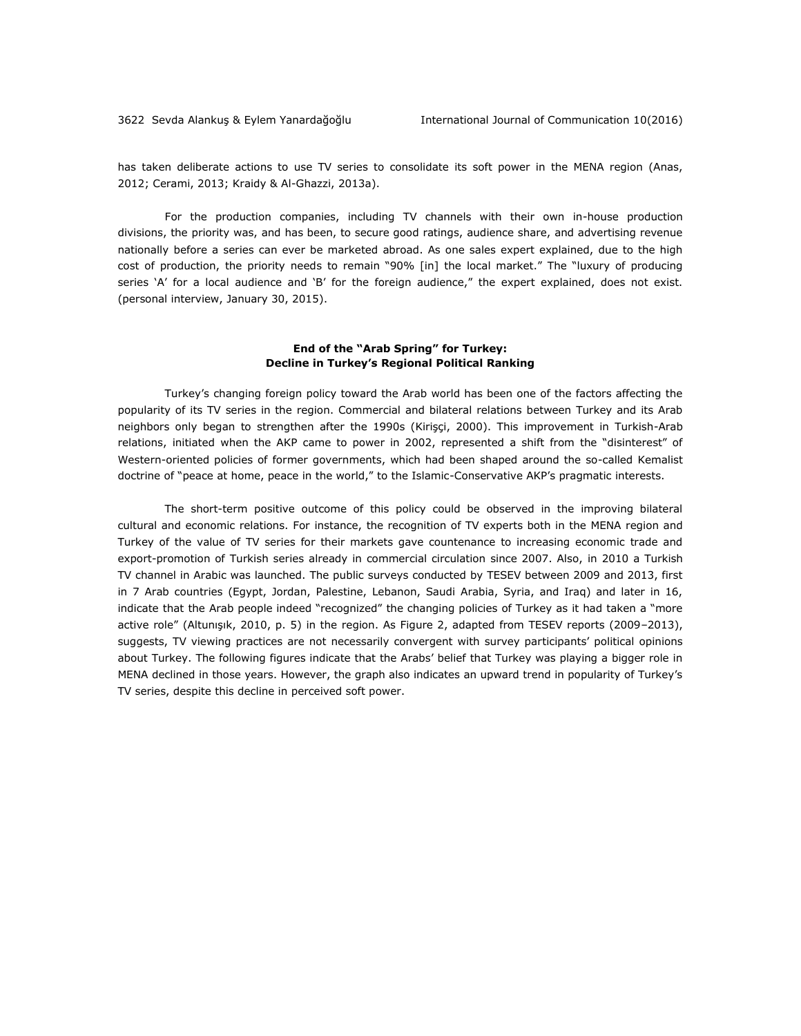has taken deliberate actions to use TV series to consolidate its soft power in the MENA region (Anas, 2012; Cerami, 2013; Kraidy & Al-Ghazzi, 2013a).

For the production companies, including TV channels with their own in-house production divisions, the priority was, and has been, to secure good ratings, audience share, and advertising revenue nationally before a series can ever be marketed abroad. As one sales expert explained, due to the high cost of production, the priority needs to remain "90% [in] the local market." The "luxury of producing series 'A' for a local audience and 'B' for the foreign audience," the expert explained, does not exist. (personal interview, January 30, 2015).

#### **End of the "Arab Spring" for Turkey: Decline in Turkey's Regional Political Ranking**

Turkey's changing foreign policy toward the Arab world has been one of the factors affecting the popularity of its TV series in the region. Commercial and bilateral relations between Turkey and its Arab neighbors only began to strengthen after the 1990s (Kirişçi, 2000). This improvement in Turkish-Arab relations, initiated when the AKP came to power in 2002, represented a shift from the "disinterest" of Western-oriented policies of former governments, which had been shaped around the so-called Kemalist doctrine of "peace at home, peace in the world," to the Islamic-Conservative AKP's pragmatic interests.

The short-term positive outcome of this policy could be observed in the improving bilateral cultural and economic relations. For instance, the recognition of TV experts both in the MENA region and Turkey of the value of TV series for their markets gave countenance to increasing economic trade and export-promotion of Turkish series already in commercial circulation since 2007. Also, in 2010 a Turkish TV channel in Arabic was launched. The public surveys conducted by TESEV between 2009 and 2013, first in 7 Arab countries (Egypt, Jordan, Palestine, Lebanon, Saudi Arabia, Syria, and Iraq) and later in 16, indicate that the Arab people indeed "recognized" the changing policies of Turkey as it had taken a "more active role" (Altunışık, 2010, p. 5) in the region. As Figure 2, adapted from TESEV reports (2009–2013), suggests, TV viewing practices are not necessarily convergent with survey participants' political opinions about Turkey. The following figures indicate that the Arabs' belief that Turkey was playing a bigger role in MENA declined in those years. However, the graph also indicates an upward trend in popularity of Turkey's TV series, despite this decline in perceived soft power.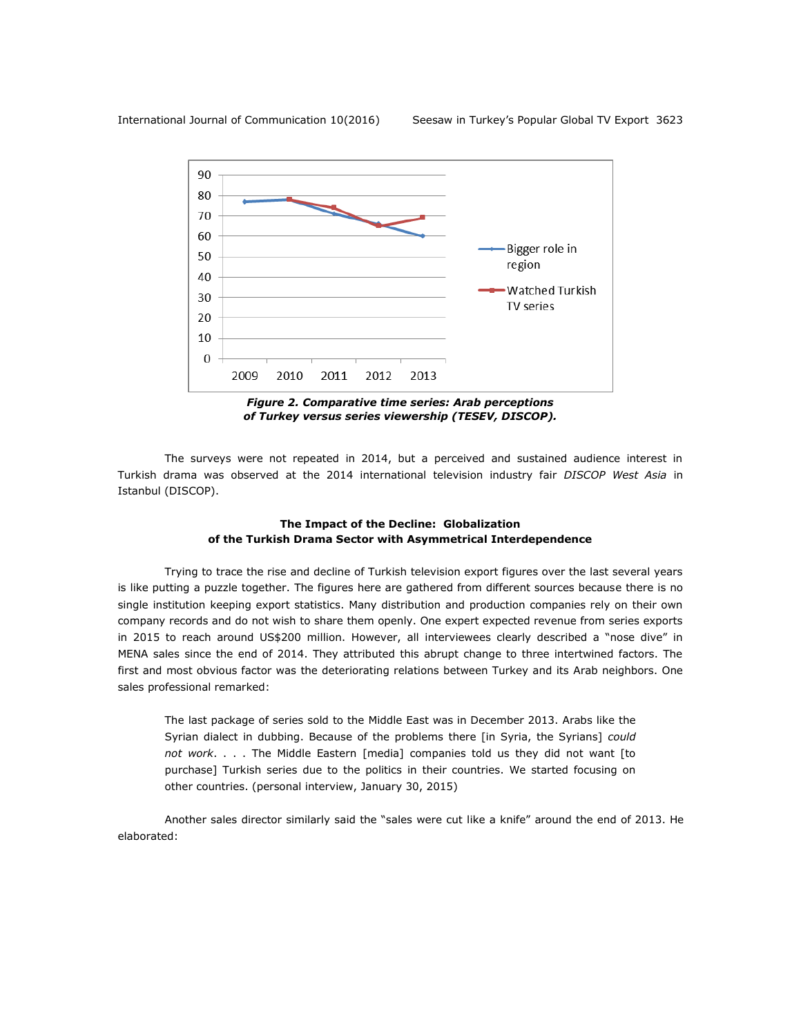

*Figure 2. Comparative time series: Arab perceptions of Turkey versus series viewership (TESEV, DISCOP).*

The surveys were not repeated in 2014, but a perceived and sustained audience interest in Turkish drama was observed at the 2014 international television industry fair *DISCOP West Asia* in Istanbul (DISCOP).

## **The Impact of the Decline: Globalization of the Turkish Drama Sector with Asymmetrical Interdependence**

Trying to trace the rise and decline of Turkish television export figures over the last several years is like putting a puzzle together. The figures here are gathered from different sources because there is no single institution keeping export statistics. Many distribution and production companies rely on their own company records and do not wish to share them openly. One expert expected revenue from series exports in 2015 to reach around US\$200 million. However, all interviewees clearly described a "nose dive" in MENA sales since the end of 2014. They attributed this abrupt change to three intertwined factors. The first and most obvious factor was the deteriorating relations between Turkey and its Arab neighbors. One sales professional remarked:

The last package of series sold to the Middle East was in December 2013. Arabs like the Syrian dialect in dubbing. Because of the problems there [in Syria, the Syrians] *could not work*. . . . The Middle Eastern [media] companies told us they did not want [to purchase] Turkish series due to the politics in their countries. We started focusing on other countries. (personal interview, January 30, 2015)

Another sales director similarly said the "sales were cut like a knife" around the end of 2013. He elaborated: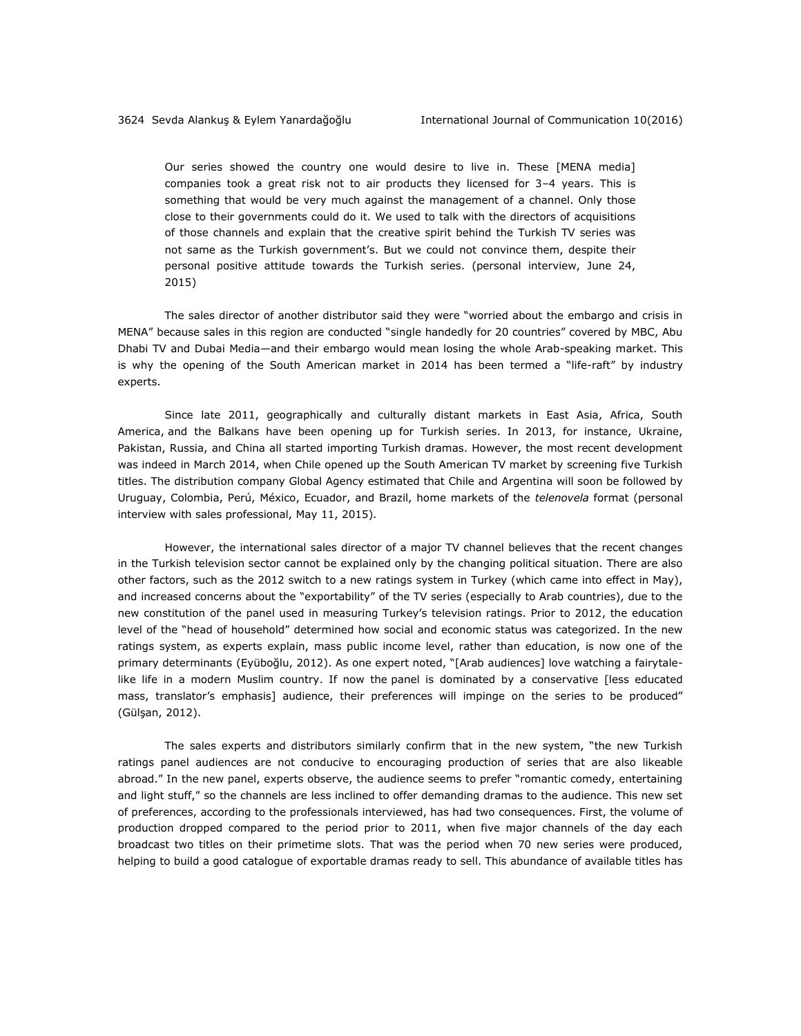Our series showed the country one would desire to live in. These [MENA media] companies took a great risk not to air products they licensed for 3–4 years. This is something that would be very much against the management of a channel. Only those close to their governments could do it. We used to talk with the directors of acquisitions of those channels and explain that the creative spirit behind the Turkish TV series was not same as the Turkish government's. But we could not convince them, despite their personal positive attitude towards the Turkish series. (personal interview, June 24, 2015)

The sales director of another distributor said they were "worried about the embargo and crisis in MENA" because sales in this region are conducted "single handedly for 20 countries" covered by MBC, Abu Dhabi TV and Dubai Media—and their embargo would mean losing the whole Arab-speaking market. This is why the opening of the South American market in 2014 has been termed a "life-raft" by industry experts.

Since late 2011, geographically and culturally distant markets in East Asia, Africa, South America, and the Balkans have been opening up for Turkish series. In 2013, for instance, Ukraine, Pakistan, Russia, and China all started importing Turkish dramas. However, the most recent development was indeed in March 2014, when Chile opened up the South American TV market by screening five Turkish titles. The distribution company Global Agency estimated that Chile and Argentina will soon be followed by Uruguay, Colombia, Perú, México, Ecuador, and Brazil, home markets of the *telenovela* format (personal interview with sales professional, May 11, 2015)*.* 

However, the international sales director of a major TV channel believes that the recent changes in the Turkish television sector cannot be explained only by the changing political situation. There are also other factors, such as the 2012 switch to a new ratings system in Turkey (which came into effect in May), and increased concerns about the "exportability" of the TV series (especially to Arab countries), due to the new constitution of the panel used in measuring Turkey's television ratings. Prior to 2012, the education level of the "head of household" determined how social and economic status was categorized. In the new ratings system, as experts explain, mass public income level, rather than education, is now one of the primary determinants (Eyüboğlu, 2012). As one expert noted, "[Arab audiences] love watching a fairytalelike life in a modern Muslim country. If now the panel is dominated by a conservative [less educated mass, translator's emphasis] audience, their preferences will impinge on the series to be produced" (Gülşan, 2012).

The sales experts and distributors similarly confirm that in the new system, "the new Turkish ratings panel audiences are not conducive to encouraging production of series that are also likeable abroad." In the new panel, experts observe, the audience seems to prefer "romantic comedy, entertaining and light stuff," so the channels are less inclined to offer demanding dramas to the audience. This new set of preferences, according to the professionals interviewed, has had two consequences. First, the volume of production dropped compared to the period prior to 2011, when five major channels of the day each broadcast two titles on their primetime slots. That was the period when 70 new series were produced, helping to build a good catalogue of exportable dramas ready to sell. This abundance of available titles has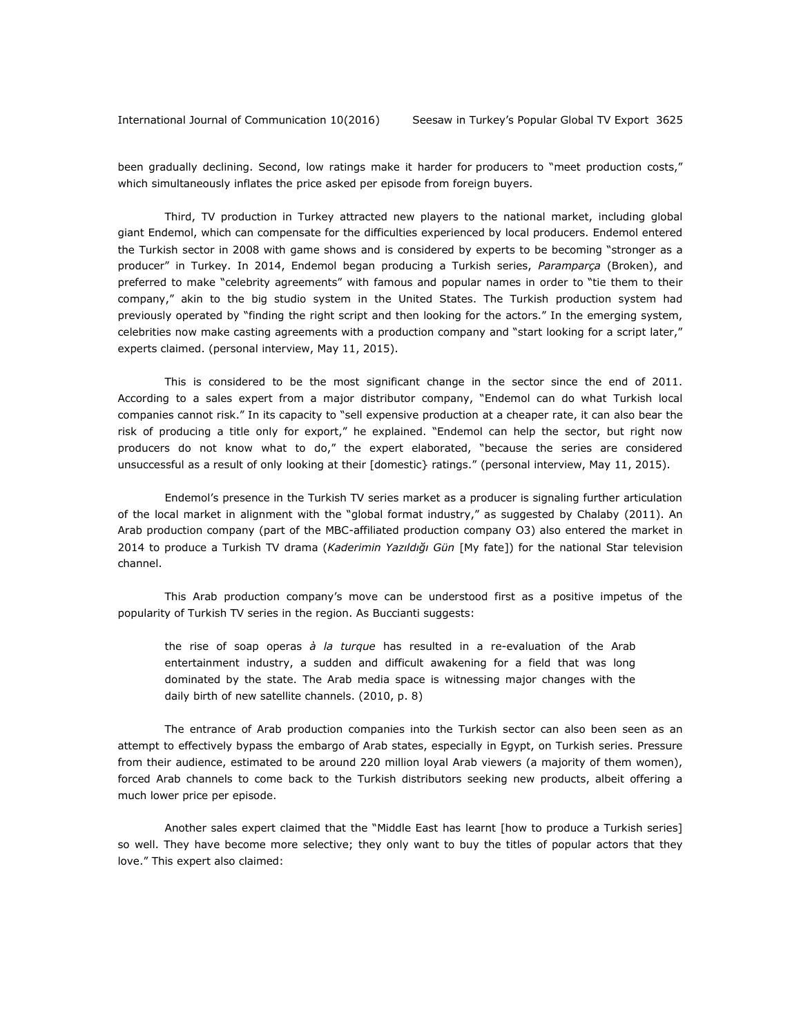been gradually declining. Second, low ratings make it harder for producers to "meet production costs," which simultaneously inflates the price asked per episode from foreign buyers.

Third, TV production in Turkey attracted new players to the national market, including global giant Endemol, which can compensate for the difficulties experienced by local producers. Endemol entered the Turkish sector in 2008 with game shows and is considered by experts to be becoming "stronger as a producer" in Turkey. In 2014, Endemol began producing a Turkish series, *Paramparça* (Broken), and preferred to make "celebrity agreements" with famous and popular names in order to "tie them to their company," akin to the big studio system in the United States. The Turkish production system had previously operated by "finding the right script and then looking for the actors." In the emerging system, celebrities now make casting agreements with a production company and "start looking for a script later," experts claimed. (personal interview, May 11, 2015).

This is considered to be the most significant change in the sector since the end of 2011. According to a sales expert from a major distributor company, "Endemol can do what Turkish local companies cannot risk." In its capacity to "sell expensive production at a cheaper rate, it can also bear the risk of producing a title only for export," he explained. "Endemol can help the sector, but right now producers do not know what to do," the expert elaborated, "because the series are considered unsuccessful as a result of only looking at their [domestic} ratings." (personal interview, May 11, 2015).

Endemol's presence in the Turkish TV series market as a producer is signaling further articulation of the local market in alignment with the "global format industry," as suggested by Chalaby (2011). An Arab production company (part of the MBC-affiliated production company O3) also entered the market in 2014 to produce a Turkish TV drama (*Kaderimin Yazıldığı Gün* [My fate]) for the national Star television channel.

This Arab production company's move can be understood first as a positive impetus of the popularity of Turkish TV series in the region. As Buccianti suggests:

the rise of soap operas *à la turque* has resulted in a re-evaluation of the Arab entertainment industry, a sudden and difficult awakening for a field that was long dominated by the state. The Arab media space is witnessing major changes with the daily birth of new satellite channels. (2010, p. 8)

The entrance of Arab production companies into the Turkish sector can also been seen as an attempt to effectively bypass the embargo of Arab states, especially in Egypt, on Turkish series. Pressure from their audience, estimated to be around 220 million loyal Arab viewers (a majority of them women), forced Arab channels to come back to the Turkish distributors seeking new products, albeit offering a much lower price per episode.

Another sales expert claimed that the "Middle East has learnt [how to produce a Turkish series] so well. They have become more selective; they only want to buy the titles of popular actors that they love." This expert also claimed: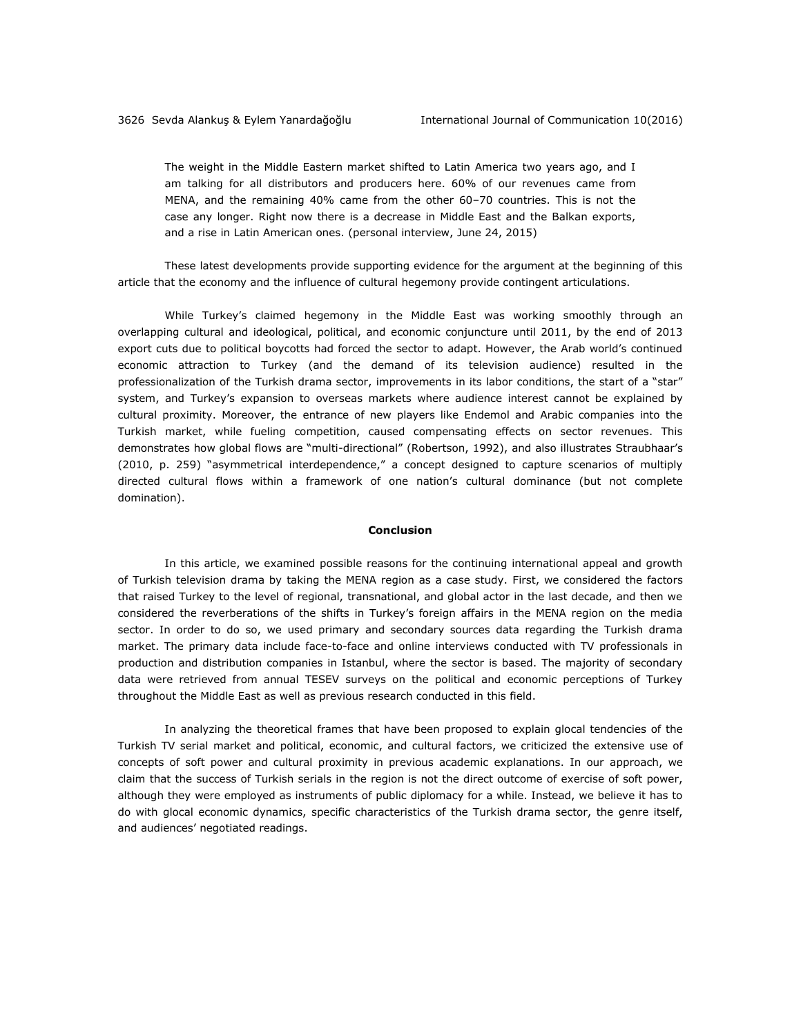The weight in the Middle Eastern market shifted to Latin America two years ago, and I am talking for all distributors and producers here. 60% of our revenues came from MENA, and the remaining 40% came from the other 60–70 countries. This is not the case any longer. Right now there is a decrease in Middle East and the Balkan exports, and a rise in Latin American ones. (personal interview, June 24, 2015)

These latest developments provide supporting evidence for the argument at the beginning of this article that the economy and the influence of cultural hegemony provide contingent articulations.

While Turkey's claimed hegemony in the Middle East was working smoothly through an overlapping cultural and ideological, political, and economic conjuncture until 2011, by the end of 2013 export cuts due to political boycotts had forced the sector to adapt. However, the Arab world's continued economic attraction to Turkey (and the demand of its television audience) resulted in the professionalization of the Turkish drama sector, improvements in its labor conditions, the start of a "star" system, and Turkey's expansion to overseas markets where audience interest cannot be explained by cultural proximity. Moreover, the entrance of new players like Endemol and Arabic companies into the Turkish market, while fueling competition, caused compensating effects on sector revenues. This demonstrates how global flows are "multi-directional" (Robertson, 1992), and also illustrates Straubhaar's (2010, p. 259) "asymmetrical interdependence," a concept designed to capture scenarios of multiply directed cultural flows within a framework of one nation's cultural dominance (but not complete domination).

#### **Conclusion**

In this article, we examined possible reasons for the continuing international appeal and growth of Turkish television drama by taking the MENA region as a case study. First, we considered the factors that raised Turkey to the level of regional, transnational, and global actor in the last decade, and then we considered the reverberations of the shifts in Turkey's foreign affairs in the MENA region on the media sector. In order to do so, we used primary and secondary sources data regarding the Turkish drama market. The primary data include face-to-face and online interviews conducted with TV professionals in production and distribution companies in Istanbul, where the sector is based. The majority of secondary data were retrieved from annual TESEV surveys on the political and economic perceptions of Turkey throughout the Middle East as well as previous research conducted in this field.

In analyzing the theoretical frames that have been proposed to explain glocal tendencies of the Turkish TV serial market and political, economic, and cultural factors, we criticized the extensive use of concepts of soft power and cultural proximity in previous academic explanations. In our approach, we claim that the success of Turkish serials in the region is not the direct outcome of exercise of soft power, although they were employed as instruments of public diplomacy for a while. Instead, we believe it has to do with glocal economic dynamics, specific characteristics of the Turkish drama sector, the genre itself, and audiences' negotiated readings.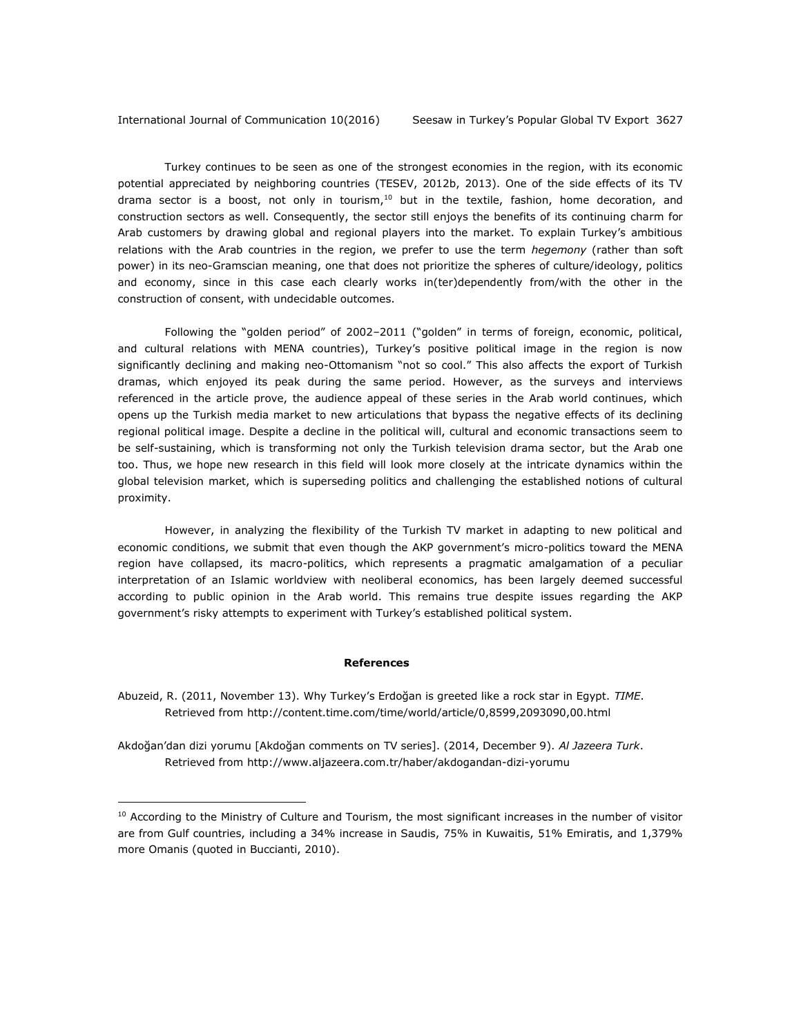Turkey continues to be seen as one of the strongest economies in the region, with its economic potential appreciated by neighboring countries (TESEV, 2012b, 2013). One of the side effects of its TV drama sector is a boost, not only in tourism, $10$  but in the textile, fashion, home decoration, and construction sectors as well. Consequently, the sector still enjoys the benefits of its continuing charm for Arab customers by drawing global and regional players into the market. To explain Turkey's ambitious relations with the Arab countries in the region, we prefer to use the term *hegemony* (rather than soft power) in its neo-Gramscian meaning, one that does not prioritize the spheres of culture/ideology, politics and economy, since in this case each clearly works in(ter)dependently from/with the other in the construction of consent, with undecidable outcomes.

Following the "golden period" of 2002–2011 ("golden" in terms of foreign, economic, political, and cultural relations with MENA countries), Turkey's positive political image in the region is now significantly declining and making neo-Ottomanism "not so cool." This also affects the export of Turkish dramas, which enjoyed its peak during the same period. However, as the surveys and interviews referenced in the article prove, the audience appeal of these series in the Arab world continues, which opens up the Turkish media market to new articulations that bypass the negative effects of its declining regional political image. Despite a decline in the political will, cultural and economic transactions seem to be self-sustaining, which is transforming not only the Turkish television drama sector, but the Arab one too. Thus, we hope new research in this field will look more closely at the intricate dynamics within the global television market, which is superseding politics and challenging the established notions of cultural proximity.

However, in analyzing the flexibility of the Turkish TV market in adapting to new political and economic conditions, we submit that even though the AKP government's micro-politics toward the MENA region have collapsed, its macro-politics, which represents a pragmatic amalgamation of a peculiar interpretation of an Islamic worldview with neoliberal economics, has been largely deemed successful according to public opinion in the Arab world. This remains true despite issues regarding the AKP government's risky attempts to experiment with Turkey's established political system.

#### **References**

Abuzeid, R. (2011, November 13). Why Turkey's Erdoğan is greeted like a rock star in Egypt. *TIME*. Retrieved from<http://content.time.com/time/world/article/0,8599,2093090,00.html>

Akdoğan'dan dizi yorumu [Akdoğan comments on TV series]. (2014, December 9). *Al Jazeera Turk*. Retrieved from<http://www.aljazeera.com.tr/haber/akdogandan-dizi-yorumu>

<sup>&</sup>lt;sup>10</sup> According to the Ministry of Culture and Tourism, the most significant increases in the number of visitor are from Gulf countries, including a 34% increase in Saudis, 75% in Kuwaitis, 51% Emiratis, and 1,379% more Omanis (quoted in Buccianti, 2010).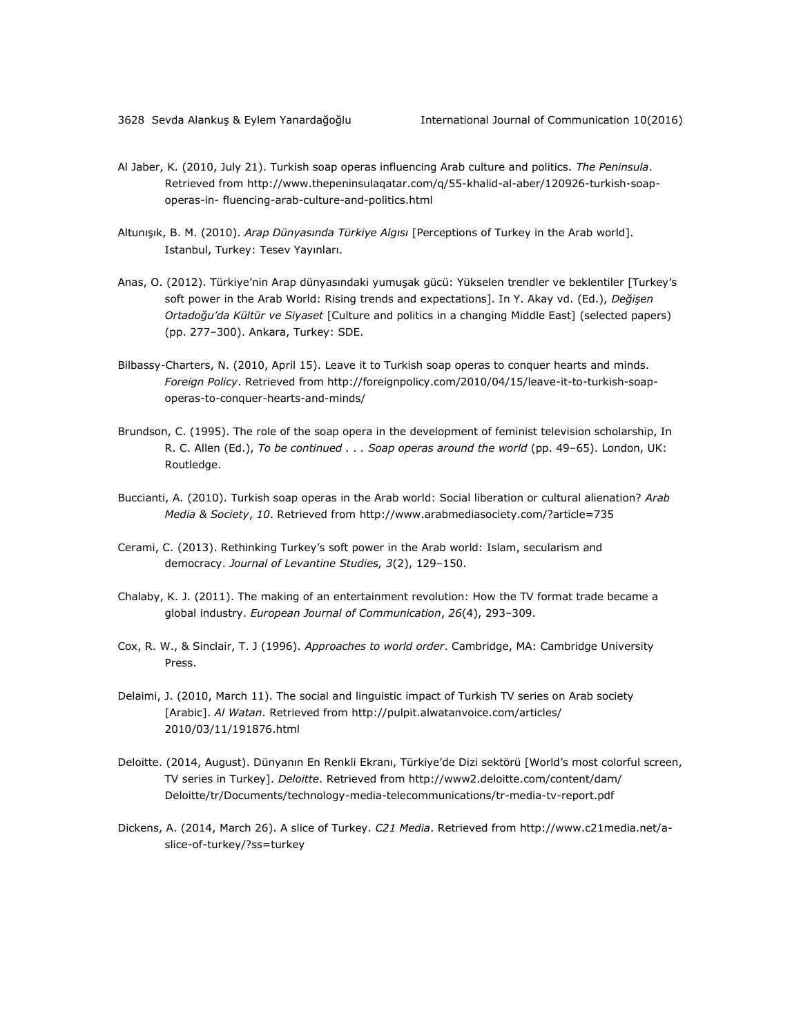- Al Jaber, K. (2010, July 21). Turkish soap operas influencing Arab culture and politics. *The Peninsula*. Retrieved from [http://www.thepeninsulaqatar.com/q/55-khalid-al-aber/120926-turkish-soap](http://www.thepeninsulaqatar.com/q/55-khalid-al-aber/120926-turkish-soap-operas-in-%20fluencing-arab-culture-and-politics.html)operas-in- [fluencing-arab-culture-and-politics.html](http://www.thepeninsulaqatar.com/q/55-khalid-al-aber/120926-turkish-soap-operas-in-%20fluencing-arab-culture-and-politics.html)
- Altunışık, B. M. (2010). *Arap Dünyasında Türkiye Algısı* [Perceptions of Turkey in the Arab world]. Istanbul, Turkey: Tesev Yayınları.
- Anas, O. (2012). Türkiye'nin Arap dünyasındaki yumuşak gücü: Yükselen trendler ve beklentiler [Turkey's soft power in the Arab World: Rising trends and expectations]. In Y. Akay vd. (Ed.), *Değişen Ortadoğu'da Kültür ve Siyaset* [Culture and politics in a changing Middle East] (selected papers) (pp. 277–300). Ankara, Turkey: SDE.
- Bilbassy-Charters, N. (2010, April 15). Leave it to Turkish soap operas to conquer hearts and minds. *Foreign Policy*. Retrieved from [http://foreignpolicy.com/2010/04/15/leave-it-to-turkish-soap](http://foreignpolicy.com/2010/04/15/leave-it-to-turkish-soap-operas-to-conquer-hearts-and-minds/)[operas-to-conquer-hearts-and-minds/](http://foreignpolicy.com/2010/04/15/leave-it-to-turkish-soap-operas-to-conquer-hearts-and-minds/)
- Brundson, C. (1995). The role of the soap opera in the development of feminist television scholarship, In R. C. Allen (Ed.), *To be continued . . . Soap operas around the world* (pp. 49–65). London, UK: Routledge.
- Buccianti, A. (2010). Turkish soap operas in the Arab world: Social liberation or cultural alienation? *Arab Media & Society*, *10*. Retrieved fro[m http://www.arabmediasociety.com/?article=735](http://www.arabmediasociety.com/?article=735)
- Cerami, C. (2013). Rethinking Turkey's soft power in the Arab world: Islam, secularism and democracy. *Journal of Levantine Studies, 3*(2), 129–150.
- Chalaby, K. J. (2011). The making of an entertainment revolution: How the TV format trade became a global industry. *European Journal of Communication*, *26*(4), 293–309.
- Cox, R. W., & Sinclair, T. J (1996). *Approaches to world order*. Cambridge, MA: Cambridge University Press.
- Delaimi, J. (2010, March 11). The social and linguistic impact of Turkish TV series on Arab society [Arabic]. *Al Watan*. Retrieved from [http://pulpit.alwatanvoice.com/articles/](http://pulpit.alwatanvoice.com/articles/2010/03/11/191876.html) [2010/03/11/191876.html](http://pulpit.alwatanvoice.com/articles/2010/03/11/191876.html)
- Deloitte. (2014, August). Dünyanın En Renkli Ekranı, Türkiye'de Dizi sektörü [World's most colorful screen, TV series in Turkey]. *Deloitte*. Retrieved from [http://www2.deloitte.com/content/dam/](http://www2.deloitte.com/content/dam/Deloitte/tr/Documents/technology-media-telecommunications/tr-media-tv-report.pdf) [Deloitte/tr/Documents/technology-media-telecommunications/tr-media-tv-report.pdf](http://www2.deloitte.com/content/dam/Deloitte/tr/Documents/technology-media-telecommunications/tr-media-tv-report.pdf)
- Dickens, A. (2014, March 26). A slice of Turkey. *C21 Media*. Retrieved from [http://www.c21media.net/a](http://www.c21media.net/a-slice-of-turkey/?ss=turkey)[slice-of-turkey/?ss=turkey](http://www.c21media.net/a-slice-of-turkey/?ss=turkey)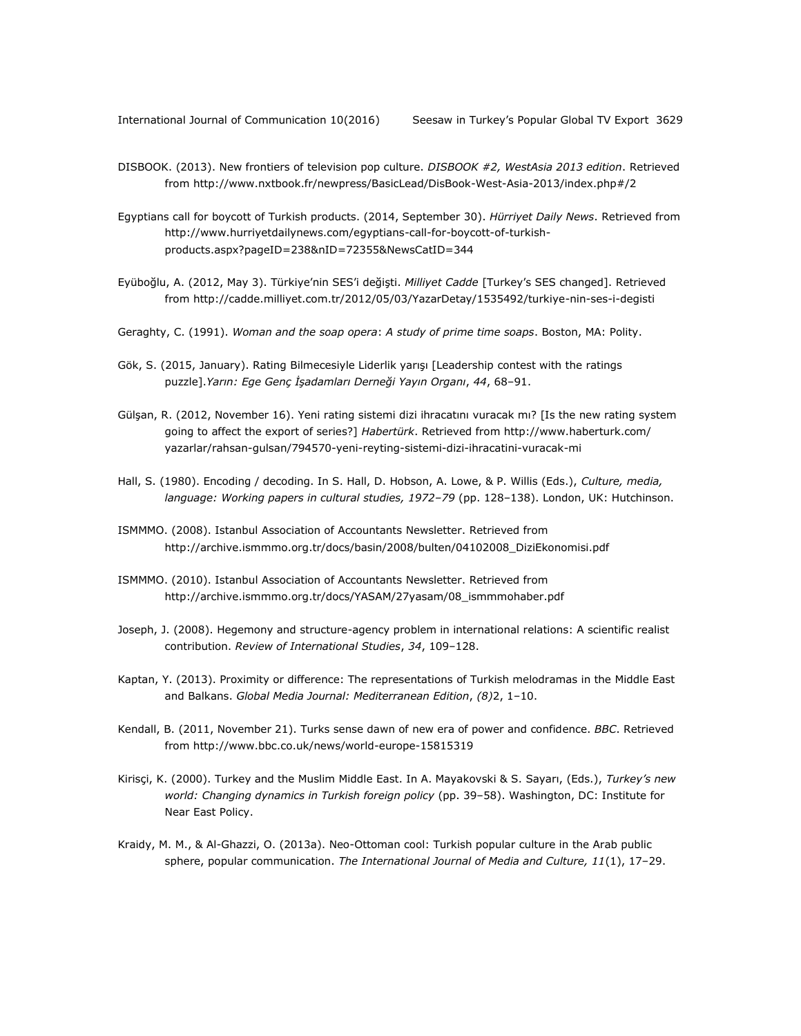- DISBOOK. (2013). New frontiers of television pop culture. *DISBOOK #2, WestAsia 2013 edition*. Retrieved from<http://www.nxtbook.fr/newpress/BasicLead/DisBook-West-Asia-2013/index.php#/2>
- Egyptians call for boycott of Turkish products. (2014, September 30). *Hürriyet Daily News*. Retrieved from [http://www.hurriyetdailynews.com/egyptians-call-for-boycott-of-turkish](http://www.hurriyetdailynews.com/egyptians-call-for-boycott-of-turkish-products.aspx?pageID=238&nID=72355&NewsCatID=344)[products.aspx?pageID=238&nID=72355&NewsCatID=344](http://www.hurriyetdailynews.com/egyptians-call-for-boycott-of-turkish-products.aspx?pageID=238&nID=72355&NewsCatID=344)
- Eyüboğlu, A. (2012, May 3). Türkiye'nin SES'i değişti. *Milliyet Cadde* [Turkey's SES changed]. Retrieved from <http://cadde.milliyet.com.tr/2012/05/03/YazarDetay/1535492/turkiye-nin-ses-i-degisti>
- Geraghty, C. (1991). *Woman and the soap opera*: *A study of prime time soaps*. Boston, MA: Polity.
- Gök, S. (2015, January). Rating Bilmecesiyle Liderlik yarışı [Leadership contest with the ratings puzzle].*Yarın: Ege Genç İşadamları Derneği Yayın Organı*, *44*, 68–91.
- Gülşan, R. (2012, November 16). Yeni rating sistemi dizi ihracatını vuracak mı? [Is the new rating system going to affect the export of series?] *Habertürk*. Retrieved from [http://www.haberturk.com/](http://www.haberturk.com/yazarlar/rahsan-gulsan/794570-yeni-reyting-sistemi-dizi-ihracatini-vuracak-mi) [yazarlar/rahsan-gulsan/794570-yeni-reyting-sistemi-dizi-ihracatini-vuracak-mi](http://www.haberturk.com/yazarlar/rahsan-gulsan/794570-yeni-reyting-sistemi-dizi-ihracatini-vuracak-mi)
- Hall, S. (1980). Encoding / decoding. In S. Hall, D. Hobson, A. Lowe, & P. Willis (Eds.), *Culture, media, language: Working papers in cultural studies, 1972–79* (pp. 128*–*138). London, UK: Hutchinson.
- ISMMMO. (2008). Istanbul Association of Accountants Newsletter. Retrieved from [http://archive.ismmmo.org.tr/docs/basin/2008/bulten/04102008\\_DiziEkonomisi.pdf](http://archive.ismmmo.org.tr/docs/basin/2008/bulten/04102008_DiziEkonomisi.pdf)
- ISMMMO. (2010). Istanbul Association of Accountants Newsletter. Retrieved from [http://archive.ismmmo.org.tr/docs/YASAM/27yasam/08\\_ismmmohaber.pdf](http://archive.ismmmo.org.tr/docs/YASAM/27yasam/08_ismmmohaber.pdf)
- Joseph, J. (2008). Hegemony and structure-agency problem in international relations: A scientific realist contribution. *Review of International Studies*, *34*, 109–128.
- Kaptan, Y. (2013). Proximity or difference: The representations of Turkish melodramas in the Middle East and Balkans. *Global Media Journal: Mediterranean Edition*, *(8)*2, 1–10.
- Kendall, B. (2011, November 21). Turks sense dawn of new era of power and confidence. *BBC*. Retrieved from http://www.bbc.co.uk/news/world-europe-15815319
- Kirisçi, K. (2000). Turkey and the Muslim Middle East. In A. Mayakovski & S. Sayarı, (Eds.), *Turkey's new world: Changing dynamics in Turkish foreign policy* (pp. 39–58). Washington, DC: Institute for Near East Policy.
- Kraidy, M. M., & Al-Ghazzi, O. (2013a). Neo-Ottoman cool: Turkish popular culture in the Arab public sphere, popular communication. *The International Journal of Media and Culture, 11*(1), 17–29.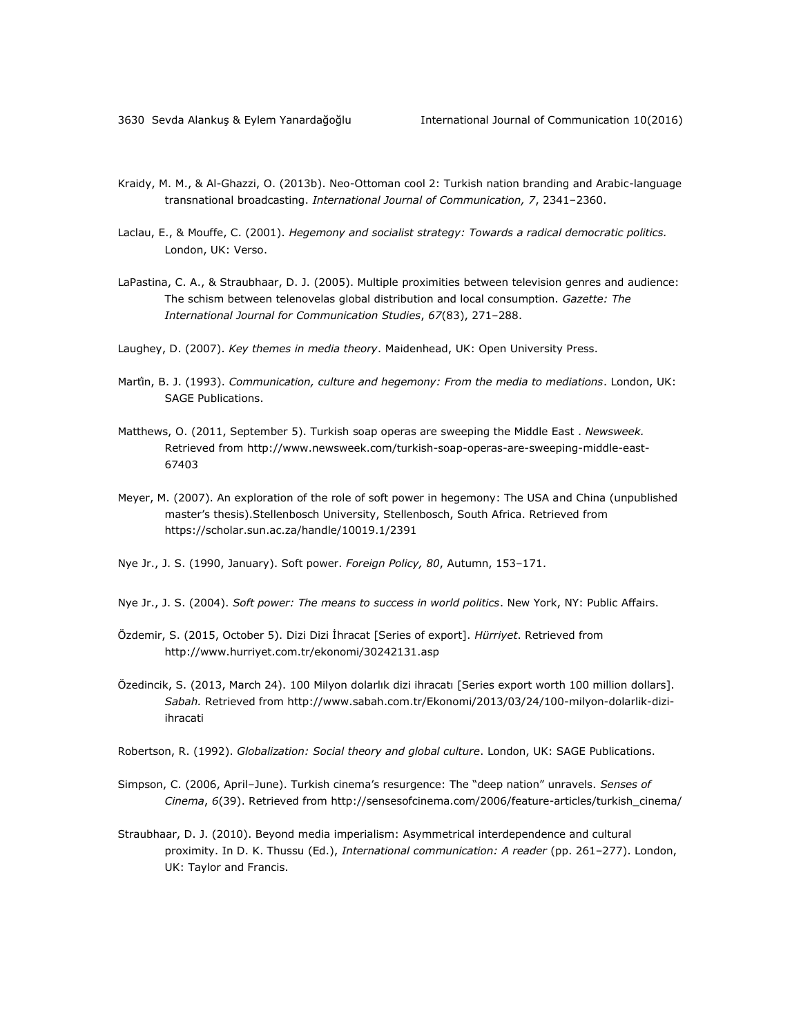- Kraidy, M. M., & Al-Ghazzi, O. (2013b). Neo-Ottoman cool 2: Turkish nation branding and Arabic-language transnational broadcasting. *International Journal of Communication, 7*, 2341–2360.
- Laclau, E., & Mouffe, C. (2001). *Hegemony and socialist strategy: Towards a radical democratic politics.* London, UK: Verso.
- LaPastina, C. A., & Straubhaar, D. J. (2005). Multiple proximities between television genres and audience: The schism between telenovelas global distribution and local consumption. *Gazette: The International Journal for Communication Studies*, *67*(83), 271–288.
- Laughey, D. (2007). *Key themes in media theory*. Maidenhead, UK: Open University Press.
- Martín, B. J. (1993). *Communication, culture and hegemony: From the media to mediations*. London, UK: SAGE Publications.
- Matthews, O. (2011, September 5). Turkish soap operas are sweeping the Middle East . *Newsweek.*  Retrieved from [http://www.newsweek.com/turkish-soap-operas-are-sweeping-middle-east-](http://www.newsweek.com/turkish-soap-operas-are-sweeping-middle-east-67403)[67403](http://www.newsweek.com/turkish-soap-operas-are-sweeping-middle-east-67403)
- Meyer, M. (2007). An exploration of the role of soft power in hegemony: The USA and China (unpublished master's thesis).Stellenbosch University, Stellenbosch, South Africa. Retrieved from <https://scholar.sun.ac.za/handle/10019.1/2391>
- Nye Jr., J. S. (1990, January). Soft power. *Foreign Policy, 80*, Autumn, 153–171.
- Nye Jr., J. S. (2004). *Soft power: The means to success in world politics*. New York, NY: Public Affairs.
- Özdemir, S. (2015, October 5). Dizi Dizi İhracat [Series of export]. *Hürriyet*. Retrieved from <http://www.hurriyet.com.tr/ekonomi/30242131.asp>
- Özedincik, S. (2013, March 24). 100 Milyon dolarlık dizi ihracatı [Series export worth 100 million dollars]. *Sabah.* Retrieved from [http://www.sabah.com.tr/Ekonomi/2013/03/24/100-milyon-dolarlik-dizi](http://www.sabah.com.tr/Ekonomi/2013/03/24/100-milyon-dolarlik-dizi-ihracati)[ihracati](http://www.sabah.com.tr/Ekonomi/2013/03/24/100-milyon-dolarlik-dizi-ihracati)
- Robertson, R. (1992). *Globalization: Social theory and global culture*. London, UK: SAGE Publications.
- Simpson, C. (2006, April–June). Turkish cinema's resurgence: The "deep nation" unravels. *Senses of Cinema*, *6*(39). Retrieved from [http://sensesofcinema.com/2006/feature-articles/turkish\\_cinema/](http://sensesofcinema.com/2006/feature-articles/turkish_cinema/)
- Straubhaar, D. J. (2010). Beyond media imperialism: Asymmetrical interdependence and cultural proximity. In D. K. Thussu (Ed.), *International communication: A reader* (pp. 261–277). London, UK: Taylor and Francis.